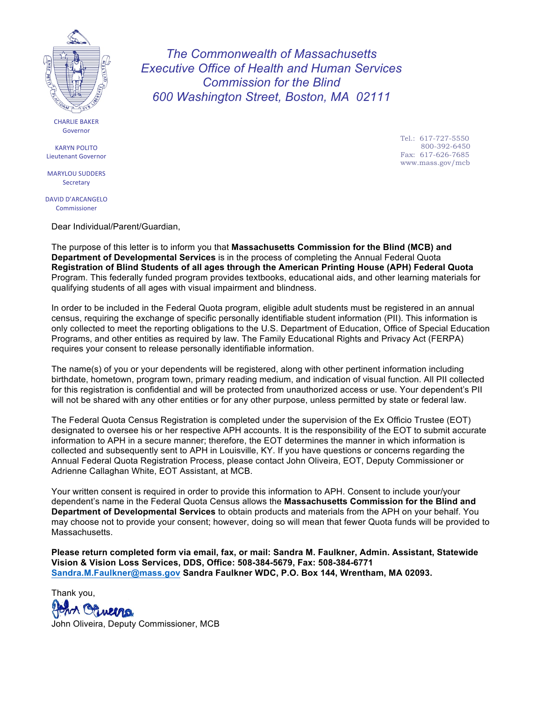

**CHARLIE BAKER** Governor

KARYN POLITO Lieutenant Governor

**MARYLOU SUDDERS Secretary** 

DAVID D'ARCANGELO Commissioner

Dear Individual/Parent/Guardian,

The purpose of this letter is to inform you that **Massachusetts Commission for the Blind (MCB) and Department of Developmental Services** is in the process of completing the Annual Federal Quota **Registration of Blind Students of all ages through the American Printing House (APH) Federal Quota** Program. This federally funded program provides textbooks, educational aids, and other learning materials for qualifying students of all ages with visual impairment and blindness.

*The Commonwealth of Massachusetts Executive Office of Health and Human Services Commission for the Blind 600 Washington Street, Boston, MA 02111*

In order to be included in the Federal Quota program, eligible adult students must be registered in an annual census, requiring the exchange of specific personally identifiable student information (PII). This information is only collected to meet the reporting obligations to the U.S. Department of Education, Office of Special Education Programs, and other entities as required by law. The Family Educational Rights and Privacy Act (FERPA) requires your consent to release personally identifiable information.

The name(s) of you or your dependents will be registered, along with other pertinent information including birthdate, hometown, program town, primary reading medium, and indication of visual function. All PII collected for this registration is confidential and will be protected from unauthorized access or use. Your dependent's PII will not be shared with any other entities or for any other purpose, unless permitted by state or federal law.

The Federal Quota Census Registration is completed under the supervision of the Ex Officio Trustee (EOT) designated to oversee his or her respective APH accounts. It is the responsibility of the EOT to submit accurate information to APH in a secure manner; therefore, the EOT determines the manner in which information is collected and subsequently sent to APH in Louisville, KY. If you have questions or concerns regarding the Annual Federal Quota Registration Process, please contact John Oliveira, EOT, Deputy Commissioner or Adrienne Callaghan White, EOT Assistant, at MCB.

Your written consent is required in order to provide this information to APH. Consent to include your/your dependent's name in the Federal Quota Census allows the **Massachusetts Commission for the Blind and Department of Developmental Services** to obtain products and materials from the APH on your behalf. You may choose not to provide your consent; however, doing so will mean that fewer Quota funds will be provided to Massachusetts.

**Please return completed form via email, fax, or mail: Sandra M. Faulkner, Admin. Assistant, Statewide Vision & Vision Loss Services, DDS, Office: 508-384-5679, Fax: 508-384-6771 [Sandra.M.Faulkner@](mailto: sandra.m.faulkner@mass.gov)[mass.gov](mailto:sandra.m.faulkner@mass.gov) Sandra Faulkner WDC, P.O. Box 144, Wrentham, MA 02093.** 

Thank you, Orveina John Oliveira, Deputy Commissioner, MCB Tel.: 617-727-5550 800-392-6450 Fax: 617-626-7685 www.mass.gov/mcb